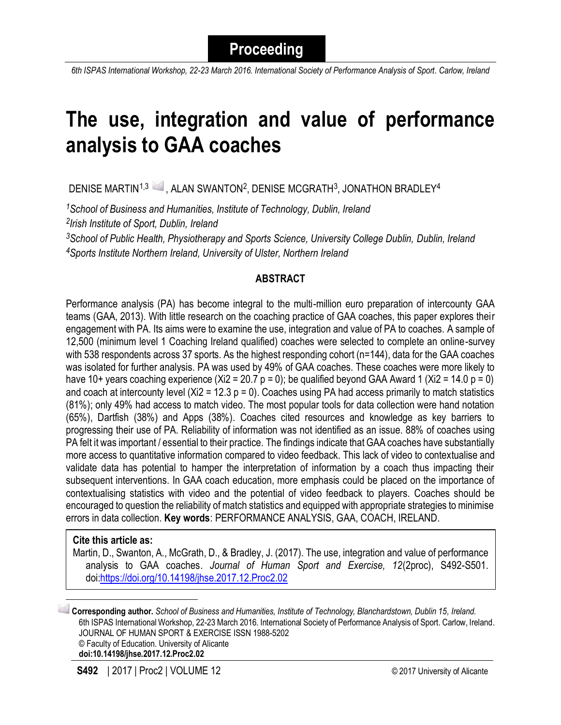*6th ISPAS International Workshop, 22-23 March 2016. International Society of Performance Analysis of Sport. Carlow, Ireland*

# **The use, integration and value of performance analysis to GAA coaches**

DENISE MARTIN $^{1,3}$   $\bowtie$  , alan swanton $^{2}$ , denise mcGrath $^{3}$ , jonathon bradley $^{4}$ 

*<sup>1</sup>School of Business and Humanities, Institute of Technology, Dublin, Ireland 2 Irish Institute of Sport, Dublin, Ireland*

*<sup>3</sup>School of Public Health, Physiotherapy and Sports Science, University College Dublin, Dublin, Ireland <sup>4</sup>Sports Institute Northern Ireland, University of Ulster, Northern Ireland*

## **ABSTRACT**

Performance analysis (PA) has become integral to the multi-million euro preparation of intercounty GAA teams (GAA, 2013). With little research on the coaching practice of GAA coaches, this paper explores their engagement with PA. Its aims were to examine the use, integration and value of PA to coaches. A sample of 12,500 (minimum level 1 Coaching Ireland qualified) coaches were selected to complete an online-survey with 538 respondents across 37 sports. As the highest responding cohort (n=144), data for the GAA coaches was isolated for further analysis. PA was used by 49% of GAA coaches. These coaches were more likely to have 10+ years coaching experience  $(Xi2 = 20.7 p = 0)$ ; be qualified beyond GAA Award 1 (Xi2 = 14.0 p = 0) and coach at intercounty level ( $Xi = 12.3$  p = 0). Coaches using PA had access primarily to match statistics (81%); only 49% had access to match video. The most popular tools for data collection were hand notation (65%), Dartfish (38%) and Apps (38%). Coaches cited resources and knowledge as key barriers to progressing their use of PA. Reliability of information was not identified as an issue. 88% of coaches using PA felt it was important / essential to their practice. The findings indicate that GAA coaches have substantially more access to quantitative information compared to video feedback. This lack of video to contextualise and validate data has potential to hamper the interpretation of information by a coach thus impacting their subsequent interventions. In GAA coach education, more emphasis could be placed on the importance of contextualising statistics with video and the potential of video feedback to players. Coaches should be encouraged to question the reliability of match statistics and equipped with appropriate strategies to minimise errors in data collection. **Key words**: PERFORMANCE ANALYSIS, GAA, COACH, IRELAND.

#### **Cite this article as:**

 $\overline{\phantom{a}}$ 

Martin, D., Swanton, A., McGrath, D., & Bradley, J. (2017). The use, integration and value of performance analysis to GAA coaches. *Journal of Human Sport and Exercise, 12*(2proc), S492-S501. doi[:https://doi.org/10.14198/jhse.2017.12.Proc2.02](https://doi.org/10.14198/jhse.2017.12.Proc2.02)

**Corresponding author.** *School of Business and Humanities, Institute of Technology, Blanchardstown, Dublin 15, Ireland.* 6th ISPAS International Workshop, 22-23 March 2016. International Society of Performance Analysis of Sport. Carlow, Ireland. JOURNAL OF HUMAN SPORT & EXERCISE ISSN 1988-5202 © Faculty of Education. University of Alicante **doi:10.14198/jhse.2017.12.Proc2.02**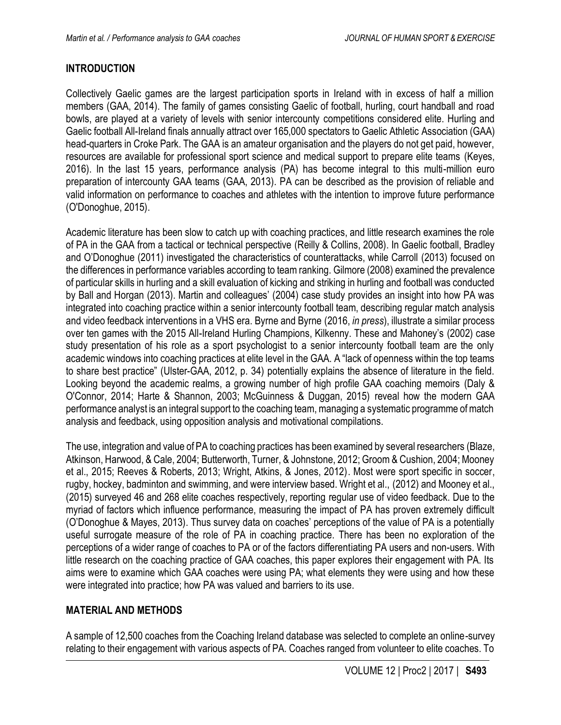## **INTRODUCTION**

Collectively Gaelic games are the largest participation sports in Ireland with in excess of half a million members (GAA, 2014). The family of games consisting Gaelic of football, hurling, court handball and road bowls, are played at a variety of levels with senior intercounty competitions considered elite. Hurling and Gaelic football All-Ireland finals annually attract over 165,000 spectators to Gaelic Athletic Association (GAA) head-quarters in Croke Park. The GAA is an amateur organisation and the players do not get paid, however, resources are available for professional sport science and medical support to prepare elite teams (Keyes, 2016). In the last 15 years, performance analysis (PA) has become integral to this multi-million euro preparation of intercounty GAA teams (GAA, 2013). PA can be described as the provision of reliable and valid information on performance to coaches and athletes with the intention to improve future performance (O'Donoghue, 2015).

Academic literature has been slow to catch up with coaching practices, and little research examines the role of PA in the GAA from a tactical or technical perspective (Reilly & Collins, 2008). In Gaelic football, Bradley and O'Donoghue (2011) investigated the characteristics of counterattacks, while Carroll (2013) focused on the differences in performance variables according to team ranking. Gilmore (2008) examined the prevalence of particular skills in hurling and a skill evaluation of kicking and striking in hurling and football was conducted by Ball and Horgan (2013). Martin and colleagues' (2004) case study provides an insight into how PA was integrated into coaching practice within a senior intercounty football team, describing regular match analysis and video feedback interventions in a VHS era. Byrne and Byrne (2016, *in press*), illustrate a similar process over ten games with the 2015 All-Ireland Hurling Champions, Kilkenny. These and Mahoney's (2002) case study presentation of his role as a sport psychologist to a senior intercounty football team are the only academic windows into coaching practices at elite level in the GAA. A "lack of openness within the top teams to share best practice" (Ulster-GAA, 2012, p. 34) potentially explains the absence of literature in the field. Looking beyond the academic realms, a growing number of high profile GAA coaching memoirs (Daly & O'Connor, 2014; Harte & Shannon, 2003; McGuinness & Duggan, 2015) reveal how the modern GAA performance analyst is an integral support to the coaching team, managing a systematic programme of match analysis and feedback, using opposition analysis and motivational compilations.

The use, integration and value of PA to coaching practices has been examined by several researchers (Blaze, Atkinson, Harwood, & Cale, 2004; Butterworth, Turner, & Johnstone, 2012; Groom & Cushion, 2004; Mooney et al., 2015; Reeves & Roberts, 2013; Wright, Atkins, & Jones, 2012). Most were sport specific in soccer, rugby, hockey, badminton and swimming, and were interview based. Wright et al., (2012) and Mooney et al., (2015) surveyed 46 and 268 elite coaches respectively, reporting regular use of video feedback. Due to the myriad of factors which influence performance, measuring the impact of PA has proven extremely difficult (O'Donoghue & Mayes, 2013). Thus survey data on coaches' perceptions of the value of PA is a potentially useful surrogate measure of the role of PA in coaching practice. There has been no exploration of the perceptions of a wider range of coaches to PA or of the factors differentiating PA users and non-users. With little research on the coaching practice of GAA coaches, this paper explores their engagement with PA. Its aims were to examine which GAA coaches were using PA; what elements they were using and how these were integrated into practice; how PA was valued and barriers to its use.

## **MATERIAL AND METHODS**

A sample of 12,500 coaches from the Coaching Ireland database was selected to complete an online-survey relating to their engagement with various aspects of PA. Coaches ranged from volunteer to elite coaches. To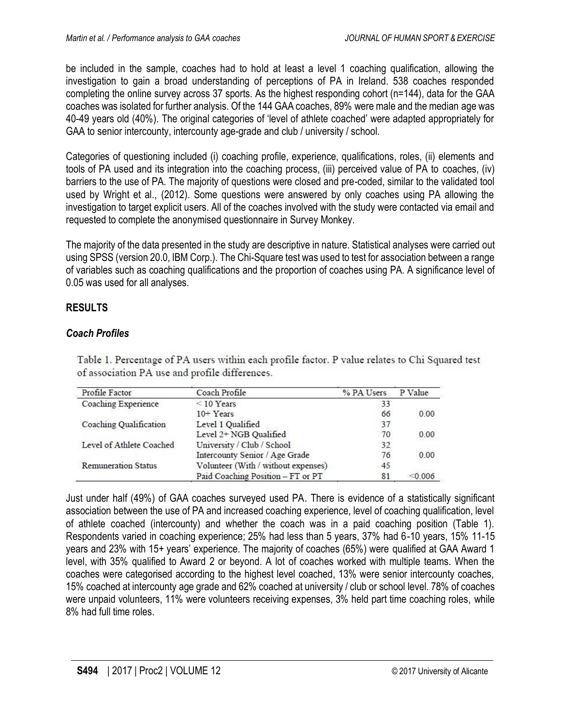be included in the sample, coaches had to hold at least a level 1 coaching qualification, allowing the investigation to gain a broad understanding of perceptions of PA in Ireland. 538 coaches responded completing the online survey across 37 sports. As the highest responding cohort (n=144), data for the GAA coaches was isolated for further analysis. Of the 144 GAA coaches, 89% were male and the median age was 40-49 years old (40%). The original categories of 'level of athlete coached' were adapted appropriately for GAA to senior intercounty, intercounty age-grade and club / university / school.

Categories of questioning included (i) coaching profile, experience, qualifications, roles, (ii) elements and tools of PA used and its integration into the coaching process, (iii) perceived value of PA to coaches, (iv) barriers to the use of PA. The majority of questions were closed and pre-coded, similar to the validated tool used by Wright et al., (2012). Some questions were answered by only coaches using PA allowing the investigation to target explicit users. All of the coaches involved with the study were contacted via email and requested to complete the anonymised questionnaire in Survey Monkey.

The majority of the data presented in the study are descriptive in nature. Statistical analyses were carried out using SPSS (version 20.0, IBM Corp.). The Chi-Square test was used to test for association between a range of variables such as coaching qualifications and the proportion of coaches using PA. A significance level of 0.05 was used for all analyses.

# **RESULTS**

## *Coach Profiles*

Table 1. Percentage of PA users within each profile factor. P value relates to Chi Squared test of association PA use and profile differences.

| Profile Factor             | Coach Profile                       | % PA Users | P Value |
|----------------------------|-------------------------------------|------------|---------|
| Coaching Experience        | $\leq$ 10 Years                     | 33         |         |
|                            | $10+Years$                          | 66         | 0.00    |
| Coaching Qualification     | Level 1 Qualified                   | 37         |         |
|                            | Level 2+ NGB Qualified              | 70         | 0.00    |
| Level of Athlete Coached   | University / Club / School          | 32         |         |
|                            | Intercounty Senior / Age Grade      | 76         | 0.00    |
| <b>Remuneration Status</b> | Volunteer (With / without expenses) | 45         |         |
|                            | Paid Coaching Position - FT or PT   | 81         | < 0.006 |

Just under half (49%) of GAA coaches surveyed used PA. There is evidence of a statistically significant association between the use of PA and increased coaching experience, level of coaching qualification, level of athlete coached (intercounty) and whether the coach was in a paid coaching position (Table 1). Respondents varied in coaching experience; 25% had less than 5 years, 37% had 6-10 years, 15% 11-15 years and 23% with 15+ years' experience. The majority of coaches (65%) were qualified at GAA Award 1 level, with 35% qualified to Award 2 or beyond. A lot of coaches worked with multiple teams. When the coaches were categorised according to the highest level coached, 13% were senior intercounty coaches, 15% coached at intercounty age grade and 62% coached at university / club or school level. 78% of coaches were unpaid volunteers, 11% were volunteers receiving expenses, 3% held part time coaching roles, while 8% had full time roles.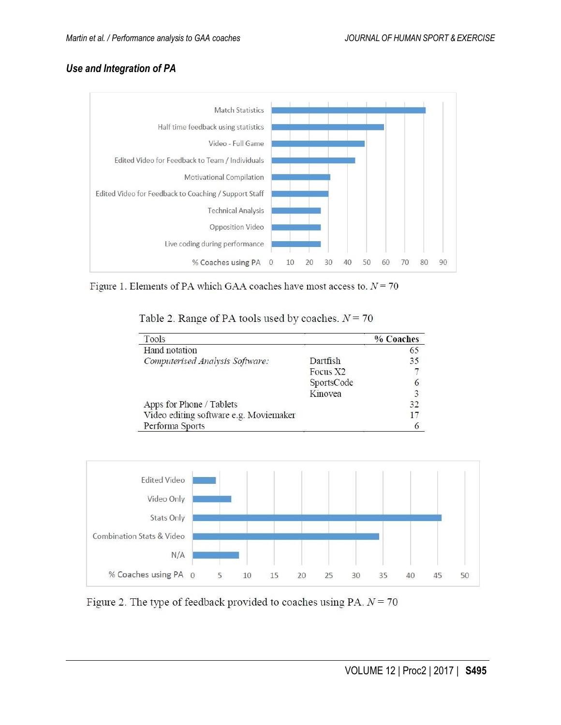## *Use and Integration of PA*



Figure 1. Elements of PA which GAA coaches have most access to.  $N = 70$ 

Table 2. Range of PA tools used by coaches.  $N = 70$ 

| Tools                                  |            | % Coaches |
|----------------------------------------|------------|-----------|
| Hand notation                          |            | 65        |
| Computerised Analysis Software:        | Dartfish   | 35        |
|                                        | Focus X2   |           |
|                                        | SportsCode |           |
|                                        | Kinovea    | 3         |
| Apps for Phone / Tablets               |            | 32        |
| Video editing software e.g. Moviemaker |            | 17        |
| Performa Sports                        |            | 6         |



Figure 2. The type of feedback provided to coaches using PA.  $N = 70$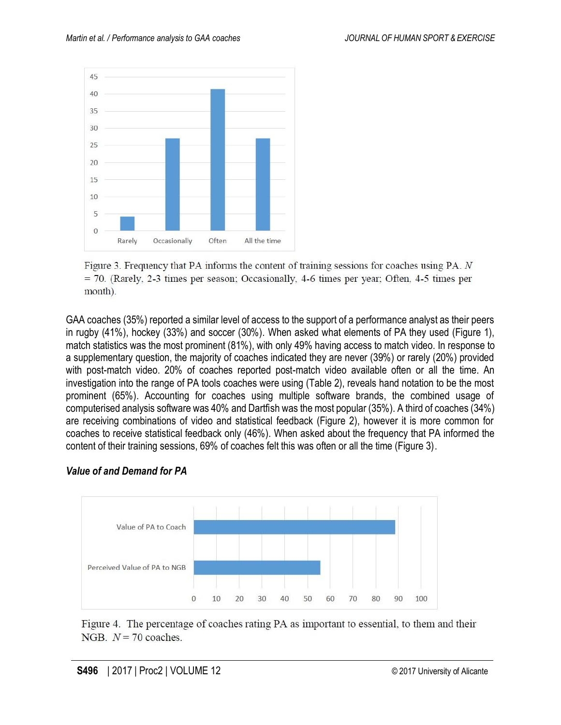

Figure 3. Frequency that PA informs the content of training sessions for coaches using PA. N  $=$  70. (Rarely, 2-3 times per season; Occasionally, 4-6 times per year; Often, 4-5 times per month).

GAA coaches (35%) reported a similar level of access to the support of a performance analyst as their peers in rugby (41%), hockey (33%) and soccer (30%). When asked what elements of PA they used (Figure 1), match statistics was the most prominent (81%), with only 49% having access to match video. In response to a supplementary question, the majority of coaches indicated they are never (39%) or rarely (20%) provided with post-match video. 20% of coaches reported post-match video available often or all the time. An investigation into the range of PA tools coaches were using (Table 2), reveals hand notation to be the most prominent (65%). Accounting for coaches using multiple software brands, the combined usage of computerised analysis software was 40% and Dartfish was the most popular (35%). A third of coaches (34%) are receiving combinations of video and statistical feedback (Figure 2), however it is more common for coaches to receive statistical feedback only (46%). When asked about the frequency that PA informed the content of their training sessions, 69% of coaches felt this was often or all the time (Figure 3).

## *Value of and Demand for PA*



Figure 4. The percentage of coaches rating PA as important to essential, to them and their NGB.  $N = 70$  coaches.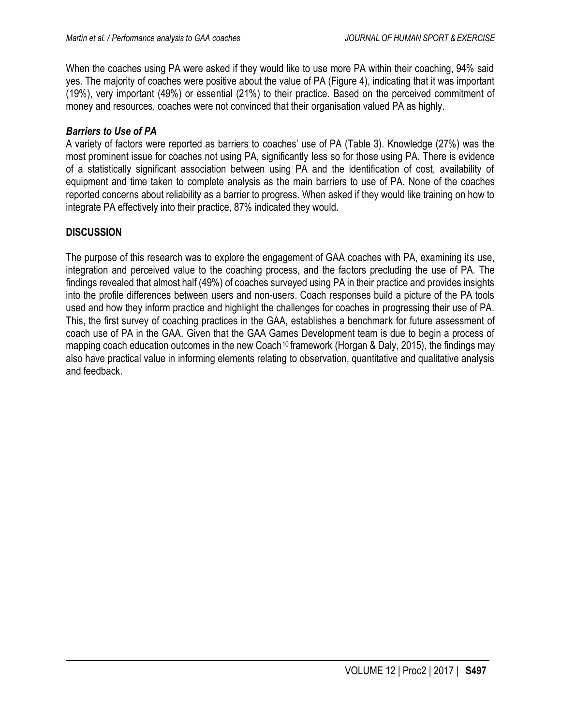When the coaches using PA were asked if they would like to use more PA within their coaching, 94% said yes. The majority of coaches were positive about the value of PA (Figure 4), indicating that it was important (19%), very important (49%) or essential (21%) to their practice. Based on the perceived commitment of money and resources, coaches were not convinced that their organisation valued PA as highly.

#### *Barriers to Use of PA*

A variety of factors were reported as barriers to coaches' use of PA (Table 3). Knowledge (27%) was the most prominent issue for coaches not using PA, significantly less so for those using PA. There is evidence of a statistically significant association between using PA and the identification of cost, availability of equipment and time taken to complete analysis as the main barriers to use of PA. None of the coaches reported concerns about reliability as a barrier to progress. When asked if they would like training on how to integrate PA effectively into their practice, 87% indicated they would.

#### **DISCUSSION**

The purpose of this research was to explore the engagement of GAA coaches with PA, examining its use, integration and perceived value to the coaching process, and the factors precluding the use of PA. The findings revealed that almost half (49%) of coaches surveyed using PA in their practice and provides insights into the profile differences between users and non-users. Coach responses build a picture of the PA tools used and how they inform practice and highlight the challenges for coaches in progressing their use of PA. This, the first survey of coaching practices in the GAA, establishes a benchmark for future assessment of coach use of PA in the GAA. Given that the GAA Games Development team is due to begin a process of mapping coach education outcomes in the new Coach<sup>10</sup> framework (Horgan & Daly, 2015), the findings may also have practical value in informing elements relating to observation, quantitative and qualitative analysis and feedback.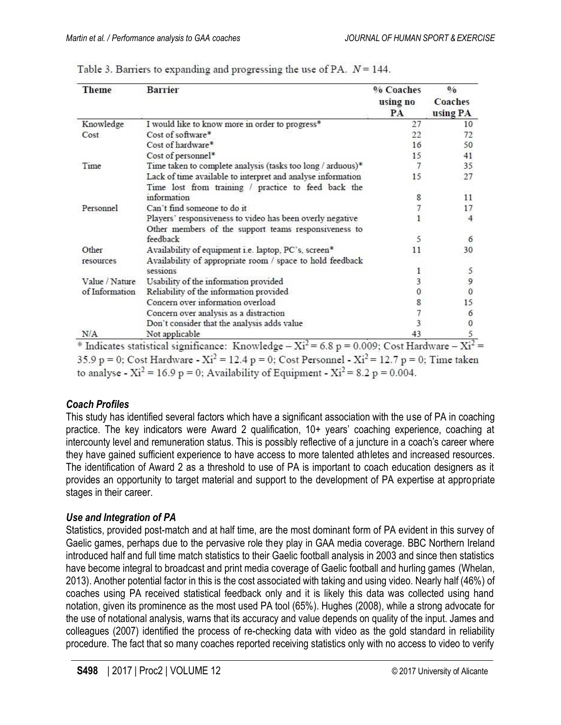| <b>Theme</b>   | <b>Barrier</b>                                              | % Coaches<br>using no<br><b>PA</b> | 0/0<br>Coaches<br>using PA |
|----------------|-------------------------------------------------------------|------------------------------------|----------------------------|
| Knowledge      | I would like to know more in order to progress*             | 27                                 | 10                         |
| Cost           | Cost of software*                                           | 22                                 | 72                         |
|                | Cost of hardware*                                           | 16                                 | 50                         |
|                | Cost of personnel*                                          | 15                                 | 41                         |
| Time           | Time taken to complete analysis (tasks too long / arduous)* | 7                                  | 35                         |
|                | Lack of time available to interpret and analyse information | 15                                 | 27                         |
|                | Time lost from training / practice to feed back the         |                                    |                            |
|                | information                                                 | 8                                  | 11                         |
| Personnel      | Can't find someone to do it                                 |                                    | 17                         |
|                | Players' responsiveness to video has been overly negative   |                                    | 4                          |
|                | Other members of the support teams responsiveness to        |                                    |                            |
|                | feedback                                                    | 5                                  | 6                          |
| Other          | Availability of equipment i.e. laptop, PC's, screen*        | 11                                 | 30                         |
| resources      | Availability of appropriate room / space to hold feedback   |                                    |                            |
|                | sessions                                                    | 1                                  | 5                          |
| Value / Nature | Usability of the information provided                       | 3                                  | 9                          |
| of Information | Reliability of the information provided                     |                                    | $\Omega$                   |
|                | Concern over information overload                           |                                    | 15                         |
|                | Concern over analysis as a distraction                      |                                    | 6                          |
|                | Don't consider that the analysis adds value                 |                                    |                            |
| N/A            | Not applicable                                              | 43                                 |                            |

|  | Table 3. Barriers to expanding and progressing the use of PA. $N = 144$ . |  |
|--|---------------------------------------------------------------------------|--|
|  |                                                                           |  |

35.9 p = 0; Cost Hardware -  $Xi^2 = 12.4$  p = 0; Cost Personnel -  $Xi^2 = 12.7$  p = 0; Time taken to analyse -  $Xi^2 = 16.9 p = 0$ ; Availability of Equipment -  $Xi^2 = 8.2 p = 0.004$ .

## *Coach Profiles*

This study has identified several factors which have a significant association with the use of PA in coaching practice. The key indicators were Award 2 qualification, 10+ years' coaching experience, coaching at intercounty level and remuneration status. This is possibly reflective of a juncture in a coach's career where they have gained sufficient experience to have access to more talented athletes and increased resources. The identification of Award 2 as a threshold to use of PA is important to coach education designers as it provides an opportunity to target material and support to the development of PA expertise at appropriate stages in their career.

#### *Use and Integration of PA*

Statistics, provided post-match and at half time, are the most dominant form of PA evident in this survey of Gaelic games, perhaps due to the pervasive role they play in GAA media coverage. BBC Northern Ireland introduced half and full time match statistics to their Gaelic football analysis in 2003 and since then statistics have become integral to broadcast and print media coverage of Gaelic football and hurling games (Whelan, 2013). Another potential factor in this is the cost associated with taking and using video. Nearly half (46%) of coaches using PA received statistical feedback only and it is likely this data was collected using hand notation, given its prominence as the most used PA tool (65%). Hughes (2008), while a strong advocate for the use of notational analysis, warns that its accuracy and value depends on quality of the input. James and colleagues (2007) identified the process of re-checking data with video as the gold standard in reliability procedure. The fact that so many coaches reported receiving statistics only with no access to video to verify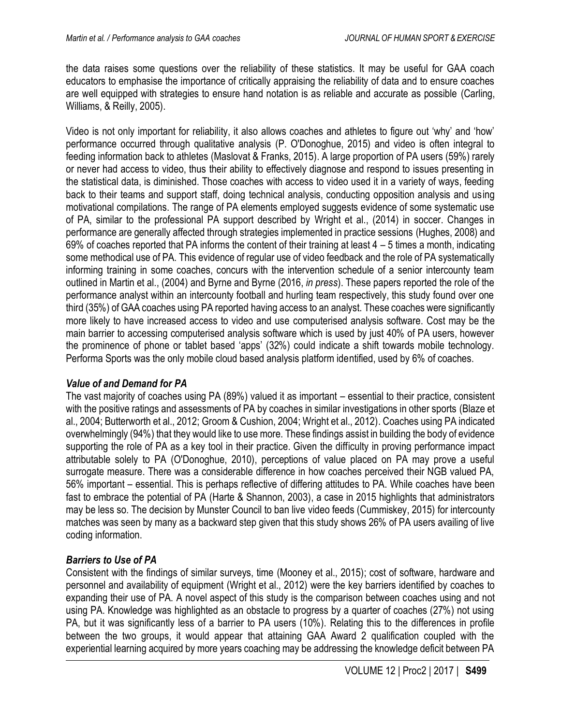the data raises some questions over the reliability of these statistics. It may be useful for GAA coach educators to emphasise the importance of critically appraising the reliability of data and to ensure coaches are well equipped with strategies to ensure hand notation is as reliable and accurate as possible (Carling, Williams, & Reilly, 2005).

Video is not only important for reliability, it also allows coaches and athletes to figure out 'why' and 'how' performance occurred through qualitative analysis (P. O'Donoghue, 2015) and video is often integral to feeding information back to athletes (Maslovat & Franks, 2015). A large proportion of PA users (59%) rarely or never had access to video, thus their ability to effectively diagnose and respond to issues presenting in the statistical data, is diminished. Those coaches with access to video used it in a variety of ways, feeding back to their teams and support staff, doing technical analysis, conducting opposition analysis and using motivational compilations. The range of PA elements employed suggests evidence of some systematic use of PA, similar to the professional PA support described by Wright et al., (2014) in soccer. Changes in performance are generally affected through strategies implemented in practice sessions (Hughes, 2008) and 69% of coaches reported that PA informs the content of their training at least 4 – 5 times a month, indicating some methodical use of PA. This evidence of regular use of video feedback and the role of PA systematically informing training in some coaches, concurs with the intervention schedule of a senior intercounty team outlined in Martin et al., (2004) and Byrne and Byrne (2016, *in press*). These papers reported the role of the performance analyst within an intercounty football and hurling team respectively, this study found over one third (35%) of GAA coaches using PA reported having access to an analyst. These coaches were significantly more likely to have increased access to video and use computerised analysis software. Cost may be the main barrier to accessing computerised analysis software which is used by just 40% of PA users, however the prominence of phone or tablet based 'apps' (32%) could indicate a shift towards mobile technology. Performa Sports was the only mobile cloud based analysis platform identified, used by 6% of coaches.

## *Value of and Demand for PA*

The vast majority of coaches using PA (89%) valued it as important – essential to their practice, consistent with the positive ratings and assessments of PA by coaches in similar investigations in other sports (Blaze et al., 2004; Butterworth et al., 2012; Groom & Cushion, 2004; Wright et al., 2012). Coaches using PA indicated overwhelmingly (94%) that they would like to use more. These findings assist in building the body of evidence supporting the role of PA as a key tool in their practice. Given the difficulty in proving performance impact attributable solely to PA (O'Donoghue, 2010), perceptions of value placed on PA may prove a useful surrogate measure. There was a considerable difference in how coaches perceived their NGB valued PA, 56% important – essential. This is perhaps reflective of differing attitudes to PA. While coaches have been fast to embrace the potential of PA (Harte & Shannon, 2003), a case in 2015 highlights that administrators may be less so. The decision by Munster Council to ban live video feeds (Cummiskey, 2015) for intercounty matches was seen by many as a backward step given that this study shows 26% of PA users availing of live coding information.

# *Barriers to Use of PA*

Consistent with the findings of similar surveys, time (Mooney et al., 2015); cost of software, hardware and personnel and availability of equipment (Wright et al., 2012) were the key barriers identified by coaches to expanding their use of PA. A novel aspect of this study is the comparison between coaches using and not using PA. Knowledge was highlighted as an obstacle to progress by a quarter of coaches (27%) not using PA, but it was significantly less of a barrier to PA users (10%). Relating this to the differences in profile between the two groups, it would appear that attaining GAA Award 2 qualification coupled with the experiential learning acquired by more years coaching may be addressing the knowledge deficit between PA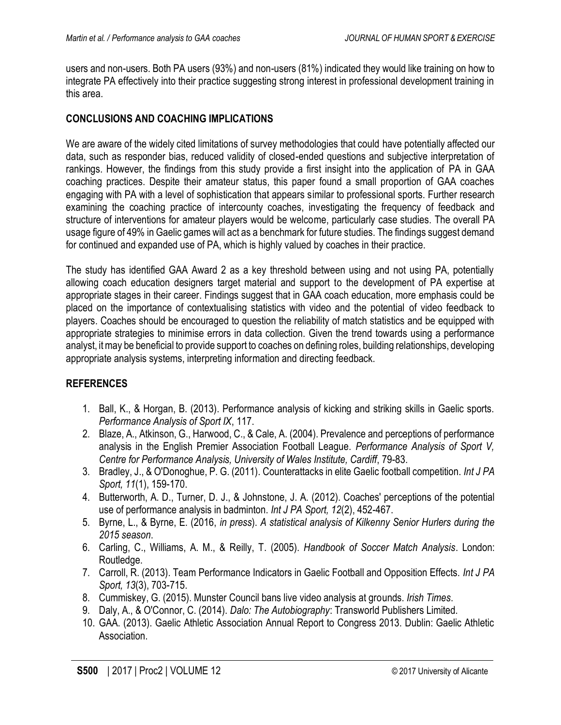users and non-users. Both PA users (93%) and non-users (81%) indicated they would like training on how to integrate PA effectively into their practice suggesting strong interest in professional development training in this area.

#### **CONCLUSIONS AND COACHING IMPLICATIONS**

We are aware of the widely cited limitations of survey methodologies that could have potentially affected our data, such as responder bias, reduced validity of closed-ended questions and subjective interpretation of rankings. However, the findings from this study provide a first insight into the application of PA in GAA coaching practices. Despite their amateur status, this paper found a small proportion of GAA coaches engaging with PA with a level of sophistication that appears similar to professional sports. Further research examining the coaching practice of intercounty coaches, investigating the frequency of feedback and structure of interventions for amateur players would be welcome, particularly case studies. The overall PA usage figure of 49% in Gaelic games will act as a benchmark for future studies. The findings suggest demand for continued and expanded use of PA, which is highly valued by coaches in their practice.

The study has identified GAA Award 2 as a key threshold between using and not using PA, potentially allowing coach education designers target material and support to the development of PA expertise at appropriate stages in their career. Findings suggest that in GAA coach education, more emphasis could be placed on the importance of contextualising statistics with video and the potential of video feedback to players. Coaches should be encouraged to question the reliability of match statistics and be equipped with appropriate strategies to minimise errors in data collection. Given the trend towards using a performance analyst, it may be beneficial to provide support to coaches on defining roles, building relationships, developing appropriate analysis systems, interpreting information and directing feedback.

## **REFERENCES**

- 1. Ball, K., & Horgan, B. (2013). Performance analysis of kicking and striking skills in Gaelic sports. *Performance Analysis of Sport IX*, 117.
- 2. Blaze, A., Atkinson, G., Harwood, C., & Cale, A. (2004). Prevalence and perceptions of performance analysis in the English Premier Association Football League. *Performance Analysis of Sport V, Centre for Performance Analysis, University of Wales Institute, Cardiff*, 79-83.
- 3. Bradley, J., & O'Donoghue, P. G. (2011). Counterattacks in elite Gaelic football competition. *Int J PA Sport, 11*(1), 159-170.
- 4. Butterworth, A. D., Turner, D. J., & Johnstone, J. A. (2012). Coaches' perceptions of the potential use of performance analysis in badminton. *Int J PA Sport, 12*(2), 452-467.
- 5. Byrne, L., & Byrne, E. (2016, *in press*). *A statistical analysis of Kilkenny Senior Hurlers during the 2015 season*.
- 6. Carling, C., Williams, A. M., & Reilly, T. (2005). *Handbook of Soccer Match Analysis*. London: Routledge.
- 7. Carroll, R. (2013). Team Performance Indicators in Gaelic Football and Opposition Effects. *Int J PA Sport, 13*(3), 703-715.
- 8. Cummiskey, G. (2015). Munster Council bans live video analysis at grounds. *Irish Times*.
- 9. Daly, A., & O'Connor, C. (2014). *Dalo: The Autobiography*: Transworld Publishers Limited.
- 10. GAA. (2013). Gaelic Athletic Association Annual Report to Congress 2013. Dublin: Gaelic Athletic Association.